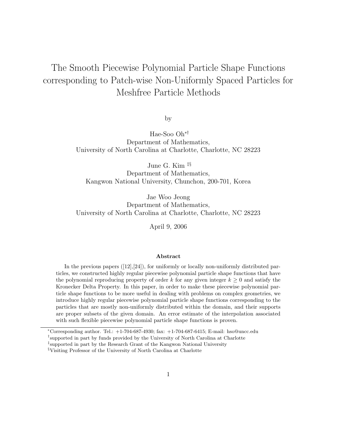# The Smooth Piecewise Polynomial Particle Shape Functions corresponding to Patch-wise Non-Uniformly Spaced Particles for Meshfree Particle Methods

by

Hae-Soo Oh∗† Department of Mathematics, University of North Carolina at Charlotte, Charlotte, NC 28223

June G. Kim ‡§

Department of Mathematics, Kangwon National University, Chunchon, 200-701, Korea

Jae Woo Jeong Department of Mathematics, University of North Carolina at Charlotte, Charlotte, NC 28223

April 9, 2006

#### Abstract

In the previous papers  $([12],[24])$ , for uniformly or locally non-uniformly distributed particles, we constructed highly regular piecewise polynomial particle shape functions that have the polynomial reproducing property of order k for any given integer  $k \geq 0$  and satisfy the Kronecker Delta Property. In this paper, in order to make these piecewise polynomial particle shape functions to be more useful in dealing with problems on complex geometries, we introduce highly regular piecewise polynomial particle shape functions corresponding to the particles that are mostly non-uniformly distributed within the domain, and their supports are proper subsets of the given domain. An error estimate of the interpolation associated with such flexible piecewise polynomial particle shape functions is proven.

<sup>∗</sup>Corresponding author. Tel.: +1-704-687-4930; fax: +1-704-687-6415; E-mail: hso@uncc.edu

<sup>†</sup> supported in part by funds provided by the University of North Carolina at Charlotte

<sup>‡</sup> supported in part by the Research Grant of the Kangwon National University

<sup>§</sup>Visiting Professor of the University of North Carolina at Charlotte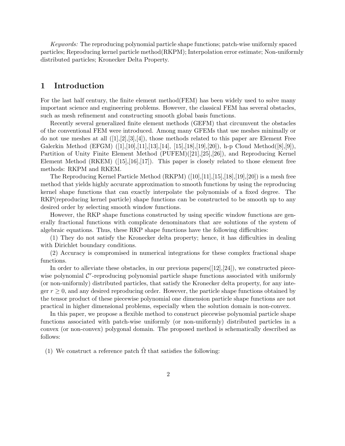Keywords: The reproducing polynomial particle shape functions; patch-wise uniformly spaced particles; Reproducing kernel particle method(RKPM); Interpolation error estimate; Non-uniformly distributed particles; Kronecker Delta Property.

#### 1 Introduction

For the last half century, the finite element method(FEM) has been widely used to solve many important science and engineering problems. However, the classical FEM has several obstacles, such as mesh refinement and constructing smooth global basis functions.

Recently several generalized finite element methods (GEFM) that circumvent the obstacles of the conventional FEM were introduced. Among many GFEMs that use meshes minimally or do not use meshes at all  $([1],[2],[3],[4])$ , those methods related to this paper are Element Free Galerkin Method (EFGM) ([1],[10],[11],[13],[14], [15],[18],[19],[20]), h-p Cloud Method([8],[9]), Partition of Unity Finite Element Method (PUFEM)([21],[25],[26]), and Reproducing Kernel Element Method  $(RKEM)$  ([15],[16],[17]). This paper is closely related to those element free methods: RKPM and RKEM.

The Reproducing Kernel Particle Method  $(RKPM)$   $(10,11,15,18,19,120)$  is a mesh free method that yields highly accurate approximation to smooth functions by using the reproducing kernel shape functions that can exactly interpolate the polynomials of a fixed degree. The RKP(reproducing kernel particle) shape functions can be constructed to be smooth up to any desired order by selecting smooth window functions.

However, the RKP shape functions constructed by using specific window functions are generally fractional functions with complicate denominators that are solutions of the system of algebraic equations. Thus, these RKP shape functions have the following difficulties:

(1) They do not satisfy the Kronecker delta property; hence, it has difficulties in dealing with Dirichlet boundary conditions.

(2) Accuracy is compromised in numerical integrations for these complex fractional shape functions.

In order to alleviate these obstacles, in our previous papers $([12],[24])$ , we constructed piecewise polynomial  $\mathcal{C}^r$ -reproducing polynomial particle shape functions associated with uniformly (or non-uniformly) distributed particles, that satisfy the Kronecker delta property, for any integer  $r \geq 0$ , and any desired reproducing order. However, the particle shape functions obtained by the tensor product of these piecewise polynomial one dimension particle shape functions are not practical in higher dimensional problems, especially when the solution domain is non-convex.

In this paper, we propose a flexible method to construct piecewise polynomial particle shape functions associated with patch-wise uniformly (or non-uniformly) distributed particles in a convex (or non-convex) polygonal domain. The proposed method is schematically described as follows:

(1) We construct a reference patch  $\Omega$  that satisfies the following: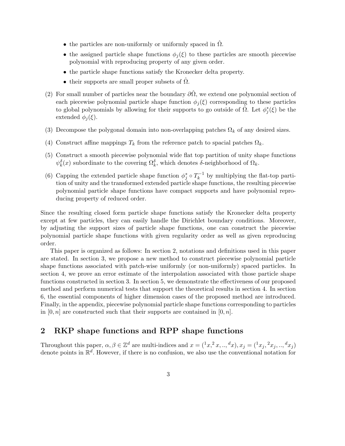- the particles are non-uniformly or uniformly spaced in  $\Omega$ .
- the assigned particle shape functions  $\phi_i(\xi)$  to these particles are smooth piecewise polynomial with reproducing property of any given order.
- the particle shape functions satisfy the Kronecker delta property.
- their supports are small proper subsets of  $\Omega$ .
- (2) For small number of particles near the boundary  $\partial\hat{\Omega}$ , we extend one polynomial section of each piecewise polynomial particle shape function  $\phi_i(\xi)$  corresponding to these particles to global polynomials by allowing for their supports to go outside of  $\hat{\Omega}$ . Let  $\phi_j^*(\xi)$  be the extended  $\phi_i(\xi)$ .
- (3) Decompose the polygonal domain into non-overlapping patches  $\Omega_k$  of any desired sizes.
- (4) Construct affine mappings  $T_k$  from the reference patch to spacial patches  $\Omega_k$ .
- (5) Construct a smooth piecewise polynomial wide flat top partition of unity shape functions  $\psi_k^{\delta}(x)$  subordinate to the covering  $\Omega_k^{\delta}$ , which denotes  $\delta$ -neighborhood of  $\Omega_k$ .
- (6) Capping the extended particle shape function  $\phi_j^* \circ T_k^{-1}$  $k^{-1}$  by multiplying the flat-top partition of unity and the transformed extended particle shape functions, the resulting piecewise polynomial particle shape functions have compact supports and have polynomial reproducing property of reduced order.

Since the resulting closed form particle shape functions satisfy the Kronecker delta property except at few particles, they can easily handle the Dirichlet boundary conditions. Moreover, by adjusting the support sizes of particle shape functions, one can construct the piecewise polynomial particle shape functions with given regularity order as well as given reproducing order.

This paper is organized as follows: In section 2, notations and definitions used in this paper are stated. In section 3, we propose a new method to construct piecewise polynomial particle shape functions associated with patch-wise uniformly (or non-uniformly) spaced particles. In section 4, we prove an error estimate of the interpolation associated with those particle shape functions constructed in section 3. In section 5, we demonstrate the effectiveness of our proposed method and perform numerical tests that support the theoretical results in section 4. In section 6, the essential components of higher dimension cases of the proposed method are introduced. Finally, in the appendix, piecewise polynomial particle shape functions corresponding to particles in  $[0, n]$  are constructed such that their supports are contained in  $[0, n]$ .

#### 2 RKP shape functions and RPP shape functions

Throughout this paper,  $\alpha, \beta \in \mathbb{Z}^d$  are multi-indices and  $x = (x^2, x, \ldots, dx), x_j = (x^2, x^2, \ldots, dx^2, x^3, \ldots, dx^3)$ denote points in  $\mathbb{R}^d$ . However, if there is no confusion, we also use the conventional notation for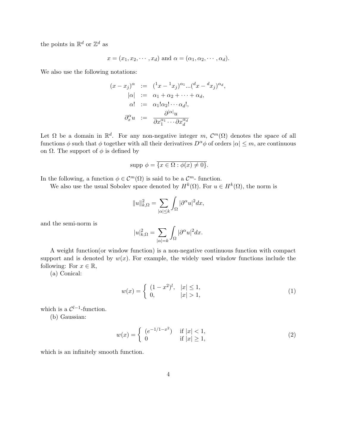the points in  $\mathbb{R}^d$  or  $\mathbb{Z}^d$  as

$$
x = (x_1, x_2, \cdots, x_d)
$$
 and  $\alpha = (\alpha_1, \alpha_2, \cdots, \alpha_d)$ .

We also use the following notations:

$$
(x - x_j)^{\alpha} := (x - x_j)^{\alpha_1} ... (x - x_j)^{\alpha_d},
$$
  
\n
$$
|\alpha| := \alpha_1 + \alpha_2 + \dots + \alpha_d,
$$
  
\n
$$
\alpha! := \alpha_1! \alpha_2! \dots \alpha_d!,
$$
  
\n
$$
\partial_x^{\alpha} u := \frac{\partial^{|\alpha|} u}{\partial x_1^{\alpha_1} \dots \partial x_d^{\alpha_d}}
$$

Let  $\Omega$  be a domain in  $\mathbb{R}^d$ . For any non-negative integer m,  $\mathcal{C}^m(\Omega)$  denotes the space of all functions  $\phi$  such that  $\phi$  together with all their derivatives  $D^{\alpha}\phi$  of orders  $|\alpha| \leq m$ , are continuous on  $\Omega$ . The support of  $\phi$  is defined by

$$
supp \phi = \overline{\{x \in \Omega : \phi(x) \neq 0\}}.
$$

In the following, a function  $\phi \in \mathcal{C}^m(\Omega)$  is said to be a  $\mathcal{C}^m$ -function.

We also use the usual Sobolev space denoted by  $H^k(\Omega)$ . For  $u \in H^k(\Omega)$ , the norm is

$$
||u||_{k,\Omega}^2 = \sum_{|\alpha| \le k} \int_{\Omega} |\partial^{\alpha} u|^2 dx,
$$

and the semi-norm is

$$
|u|_{k,\Omega}^2 = \sum_{|\alpha|=k} \int_{\Omega} |\partial^{\alpha} u|^2 dx.
$$

A weight function(or window function) is a non-negative continuous function with compact support and is denoted by  $w(x)$ . For example, the widely used window functions include the following: For  $x \in \mathbb{R}$ ,

(a) Conical:

$$
w(x) = \begin{cases} (1-x^2)^l, & |x| \le 1, \\ 0, & |x| > 1, \end{cases}
$$
 (1)

which is a  $\mathcal{C}^{l-1}$ -function.

(b) Gaussian:

$$
w(x) = \begin{cases} (e^{-1/1-x^2}) & \text{if } |x| < 1, \\ 0 & \text{if } |x| \ge 1, \end{cases}
$$
 (2)

which is an infinitely smooth function.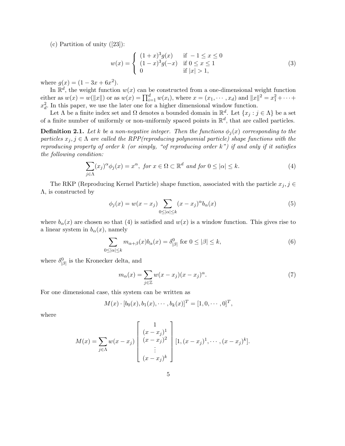(c) Partition of unity ([23]):

$$
w(x) = \begin{cases} (1+x)^3 g(x) & \text{if } -1 \le x \le 0\\ (1-x)^3 g(-x) & \text{if } 0 \le x \le 1\\ 0 & \text{if } |x| > 1, \end{cases}
$$
(3)

where  $g(x) = (1 - 3x + 6x^2)$ .

In  $\mathbb{R}^d$ , the weight function  $w(x)$  can be constructed from a one-dimensional weight function either as  $w(x) = w(||x||)$  or as  $w(x) = \prod_{i=1}^{d} w(x_i)$ , where  $x = (x_1, \dots, x_d)$  and  $||x||^2 = x_1^2 + \dots +$  $x_d^2$ . In this paper, we use the later one for a higher dimensional window function.

Let  $\Lambda$  be a finite index set and  $\Omega$  denotes a bounded domain in  $\mathbb{R}^d$ . Let  $\{x_j : j \in \Lambda\}$  be a set of a finite number of uniformly or non-uniformly spaced points in  $\mathbb{R}^d$ , that are called particles.

**Definition 2.1.** Let k be a non-negative integer. Then the functions  $\phi_i(x)$  corresponding to the particles  $x_j, j \in \Lambda$  are called the RPP(reproducing polynomial particle) shape functions with the reproducing property of order k (or simply, "of reproducing order k") if and only if it satisfies the following condition:

$$
\sum_{j \in \Lambda} (x_j)^{\alpha} \phi_j(x) = x^{\alpha}, \text{ for } x \in \Omega \subset \mathbb{R}^d \text{ and for } 0 \leq |\alpha| \leq k. \tag{4}
$$

The RKP (Reproducing Kernel Particle) shape function, associated with the particle  $x_j, j \in$ Λ, is constructed by

$$
\phi_j(x) = w(x - x_j) \sum_{0 \leq |\alpha| \leq k} (x - x_j)^{\alpha} b_{\alpha}(x) \tag{5}
$$

where  $b_{\alpha}(x)$  are chosen so that (4) is satisfied and  $w(x)$  is a window function. This gives rise to a linear system in  $b_{\alpha}(x)$ , namely

$$
\sum_{0 \le |\alpha| \le k} m_{\alpha+\beta}(x) b_{\alpha}(x) = \delta^0_{|\beta|} \text{ for } 0 \le |\beta| \le k,
$$
\n(6)

where  $\delta^0_{\vert\beta\vert}$  is the Kronecker delta, and

$$
m_{\alpha}(x) = \sum_{j \in \mathbb{Z}} w(x - x_j)(x - x_j)^{\alpha}.
$$
 (7)

For one dimensional case, this system can be written as

$$
M(x) \cdot [b_0(x), b_1(x), \cdots, b_k(x)]^T = [1, 0, \cdots, 0]^T,
$$

where

$$
M(x) = \sum_{j \in \Lambda} w(x - x_j) \begin{bmatrix} 1 \\ (x - x_j)^1 \\ (x - x_j)^2 \\ \vdots \\ (x - x_j)^k \end{bmatrix} [1, (x - x_j)^1, \cdots, (x - x_j)^k].
$$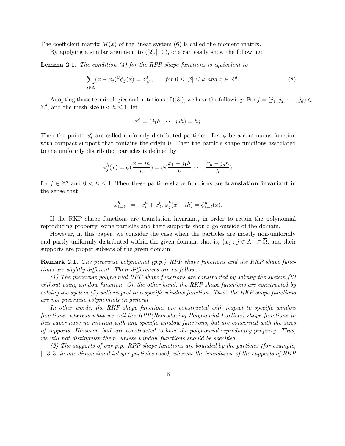The coefficient matrix  $M(x)$  of the linear system (6) is called the moment matrix.

By applying a similar argument to  $([2],[10])$ , one can easily show the following:

**Lemma 2.1.** The condition  $\left(\frac{1}{4}\right)$  for the RPP shape functions is equivalent to

$$
\sum_{j \in \Lambda} (x - x_j)^{\beta} \phi_j(x) = \delta^0_{|\beta|}, \qquad \text{for } 0 \le |\beta| \le k \text{ and } x \in \mathbb{R}^d. \tag{8}
$$

Adopting those terminologies and notations of ([3]), we have the following: For  $j = (j_1, j_2, \dots, j_d) \in$  $\mathbb{Z}^d$ , and the mesh size  $0 < h \leq 1$ , let

$$
x_j^h = (j_1h, \cdots, j_dh) = hj.
$$

Then the points  $x_j^h$  are called uniformly distributed particles. Let  $\phi$  be a continuous function with compact support that contains the origin 0. Then the particle shape functions associated to the uniformly distributed particles is defined by

$$
\phi_j^h(x) = \phi(\frac{x - jh}{h}) = \phi(\frac{x_1 - j_1h}{h}, \cdots, \frac{x_d - j_dh}{h}),
$$

for  $j \in \mathbb{Z}^d$  and  $0 < h \leq 1$ . Then these particle shape functions are **translation invariant** in the sense that

$$
x_{i+j}^h = x_i^h + x_j^h, \phi_j^h(x - ih) = \phi_{i+j}^h(x).
$$

If the RKP shape functions are translation invariant, in order to retain the polynomial reproducing property, some particles and their supports should go outside of the domain.

However, in this paper, we consider the case when the particles are mostly non-uniformly and partly uniformly distributed within the given domain, that is,  $\{x_i : j \in \Lambda\} \subset \overline{\Omega}$ , and their supports are proper subsets of the given domain.

Remark 2.1. The piecewise polynomial (p.p.) RPP shape functions and the RKP shape functions are slightly different. Their differences are as follows:

(1) The piecewise polynomial RPP shape functions are constructed by solving the system  $(8)$ without using window function. On the other hand, the RKP shape functions are constructed by solving the system  $(5)$  with respect to a specific window function. Thus, the RKP shape functions are not piecewise polynomials in general.

In other words, the RKP shape functions are constructed with respect to specific window functions, whereas what we call the RPP(Reproducing Polynomial Particle) shape functions in this paper have no relation with any specific window functions, but are concerned with the sizes of supports. However, both are constructed to have the polynomial reproducing property. Thus, we will not distinguish them, unless window functions should be specified.

(2) The supports of our p.p. RPP shape functions are bounded by the particles (for example, [−3, 3] in one dimensional integer particles case), whereas the boundaries of the supports of RKP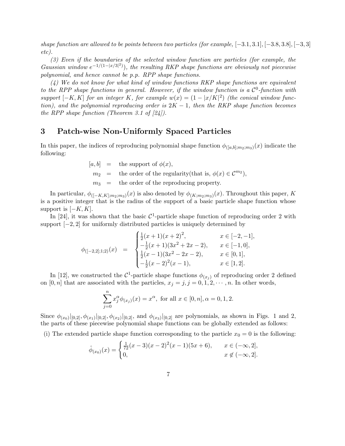shape function are allowed to be points between two particles (for example,  $[-3.1, 3.1]$ ,  $[-3.8, 3.8]$ ,  $[-3, 3]$ etc).

(3) Even if the boundaries of the selected window function are particles (for example, the Gaussian window  $e^{-1/(1-|x/3|^2)}$ , the resulting RKP shape functions are obviously not piecewise polynomial, and hence cannot be p.p. RPP shape functions.

(4) We do not know for what kind of window functions RKP shape functions are equivalent to the RPP shape functions in general. However, if the window function is a  $\mathcal{C}^0$ -function with support  $[-K, K]$  for an integer K, for example  $w(x) = (1 - |x/K|^2)$  (the conical window function), and the polynomial reproducing order is  $2K - 1$ , then the RKP shape function becomes the RPP shape function (Theorem 3.1 of  $[24]$ ).

#### 3 Patch-wise Non-Uniformly Spaced Particles

In this paper, the indices of reproducing polynomial shape function  $\phi_{([a,b];m_2;m_3)}(x)$  indicate the following:

> $[a, b] =$  the support of  $\phi(x)$ ,  $m_2$  = the order of the regularity(that is,  $\phi(x) \in \mathcal{C}^{m_2}$ ),  $m_3$  = the order of the reproducing property.

In particular,  $\phi_{([-K,K];m_2;m_3)}(x)$  is also denoted by  $\phi_{(K;m_2;m_3)}(x)$ . Throughout this paper, K is a positive integer that is the radius of the support of a basic particle shape function whose support is  $[-K, K]$ .

In [24], it was shown that the basic  $C^1$ -particle shape function of reproducing order 2 with support  $[-2, 2]$  for uniformly distributed particles is uniquely determined by

$$
\phi_{([-2,2];1;2)}(x) = \begin{cases} \frac{1}{2}(x+1)(x+2)^2, & x \in [-2,-1], \\ -\frac{1}{2}(x+1)(3x^2+2x-2), & x \in [-1,0], \\ \frac{1}{2}(x-1)(3x^2-2x-2), & x \in [0,1], \\ -\frac{1}{2}(x-2)^2(x-1), & x \in [1,2]. \end{cases}
$$

In [12], we constructed the  $\mathcal{C}^1$ -particle shape functions  $\phi_{(x_j)}$  of reproducing order 2 defined on [0, n] that are associated with the particles,  $x_j = j, j = 0, 1, 2, \cdots, n$ . In other words,

$$
\sum_{j=0}^{n} x_j^{\alpha} \phi_{(x_j)}(x) = x^{\alpha}, \text{ for all } x \in [0, n], \alpha = 0, 1, 2.
$$

Since  $\phi_{(x_0)}|_{[0,2]}, \phi_{(x_1)}|_{[0,2]}, \phi_{(x_2)}|_{[0,2]}$ , and  $\phi_{(x_3)}|_{[0,2]}$  are polynomials, as shown in Figs. 1 and 2, the parts of these piecewise polynomial shape functions can be globally extended as follows:

(i) The extended particle shape function corresponding to the particle  $x_0 = 0$  is the following:

$$
\hat{\phi}_{(x_0)}(x) = \begin{cases} \frac{1}{72}(x-3)(x-2)^2(x-1)(5x+6), & x \in (-\infty,2], \\ 0, & x \notin (-\infty,2]. \end{cases}
$$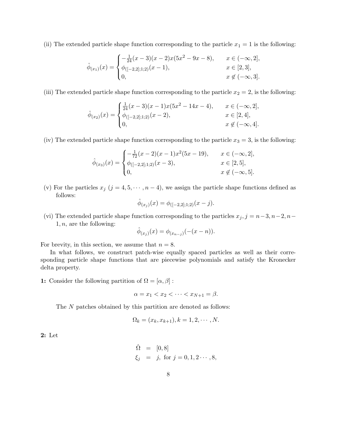(ii) The extended particle shape function corresponding to the particle  $x_1 = 1$  is the following:

$$
\hat{\phi}_{(x_1)}(x) = \begin{cases}\n-\frac{1}{24}(x-3)(x-2)x(5x^2-9x-8), & x \in (-\infty, 2], \\
\phi_{([-2,2];1;2)}(x-1), & x \in [2,3], \\
0, & x \notin (-\infty, 3].\n\end{cases}
$$

(iii) The extended particle shape function corresponding to the particle  $x_2 = 2$ , is the following:

$$
\hat{\phi}_{(x_2)}(x) = \begin{cases} \frac{1}{24}(x-3)(x-1)x(5x^2 - 14x - 4), & x \in (-\infty, 2], \\ \phi_{([-2,2];1;2)}(x-2), & x \in [2,4], \\ 0, & x \notin (-\infty, 4]. \end{cases}
$$

(iv) The extended particle shape function corresponding to the particle  $x_3 = 3$ , is the following:

$$
\hat{\phi}_{(x_3)}(x) = \begin{cases}\n-\frac{1}{72}(x-2)(x-1)x^2(5x-19), & x \in (-\infty, 2], \\
\phi_{([-2,2];1;2)}(x-3), & x \in [2,5], \\
0, & x \notin (-\infty, 5].\n\end{cases}
$$

(v) For the particles  $x_j$   $(j = 4, 5, \dots, n-4)$ , we assign the particle shape functions defined as follows:

$$
\hat{\phi}_{(x_j)}(x) = \phi_{([-2,2];1;2)}(x-j).
$$

(vi) The extended particle shape function corresponding to the particles  $x_j, j = n-3, n-2, n-2$  $1, n$ , are the following:

$$
\hat{\phi}_{(x_j)}(x) = \phi_{(x_{n-j})}(-(x - n)).
$$

For brevity, in this section, we assume that  $n = 8$ .

In what follows, we construct patch-wise equally spaced particles as well as their corresponding particle shape functions that are piecewise polynomials and satisfy the Kronecker delta property.

1: Consider the following partition of  $\Omega = [\alpha, \beta]$ :

$$
\alpha = x_1 < x_2 < \dots < x_{N+1} = \beta.
$$

The N patches obtained by this partition are denoted as follows:

$$
\Omega_k = (x_k, x_{k+1}), k = 1, 2, \cdots, N.
$$

2: Let

$$
\begin{array}{rcl}\n\hat{\Omega} & = & [0, 8] \\
\xi_j & = & j, \text{ for } j = 0, 1, 2 \cdots, 8,\n\end{array}
$$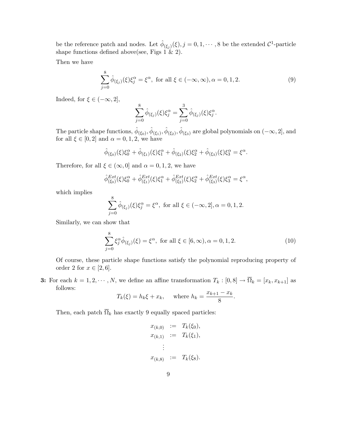be the reference patch and nodes. Let  $\hat{\phi}_{(\xi_j)}(\xi), j = 0, 1, \cdots, 8$  be the extended  $\mathcal{C}^1$ -particle shape functions defined above(see, Figs  $1 \& 2$ ).

Then we have

$$
\sum_{j=0}^{8} \hat{\phi}_{(\xi_j)}(\xi) \xi_j^{\alpha} = \xi^{\alpha}, \text{ for all } \xi \in (-\infty, \infty), \alpha = 0, 1, 2.
$$
 (9)

Indeed, for  $\xi \in (-\infty, 2]$ ,

$$
\sum_{j=0}^{8} \hat{\phi}_{(\xi_j)}(\xi) \xi_j^{\alpha} = \sum_{j=0}^{3} \hat{\phi}_{(\xi_j)}(\xi) \xi_j^{\alpha}.
$$

The particle shape functions,  $\hat{\phi}_{(\xi_0)}, \hat{\phi}_{(\xi_1)}, \hat{\phi}_{(\xi_2)}, \hat{\phi}_{(\xi_3)}$  are global polynomials on  $(-\infty, 2]$ , and for all  $\xi \in [0,2]$  and  $\alpha = 0,1,2$ , we have

$$
\hat{\phi}_{(\xi_0)}(\xi)\xi_0^{\alpha} + \hat{\phi}_{(\xi_1)}(\xi)\xi_1^{\alpha} + \hat{\phi}_{(\xi_2)}(\xi)\xi_2^{\alpha} + \hat{\phi}_{(\xi_3)}(\xi)\xi_3^{\alpha} = \xi^{\alpha}.
$$

Therefore, for all  $\xi \in (\infty, 0]$  and  $\alpha = 0, 1, 2$ , we have

$$
\hat{\phi}_{(\xi_0)}^{Ext}(\xi)\xi_0^{\alpha} + \hat{\phi}_{(\xi_1)}^{Ext}(\xi)\xi_1^{\alpha} + \hat{\phi}_{(\xi_2)}^{Ext}(\xi)\xi_2^{\alpha} + \hat{\phi}_{(\xi_3)}^{Ext}(\xi)\xi_3^{\alpha} = \xi^{\alpha},
$$

which implies

$$
\sum_{j=0}^{8} \hat{\phi}_{(\xi_j)}(\xi) \xi_j^{\alpha} = \xi^{\alpha}, \text{ for all } \xi \in (-\infty, 2], \alpha = 0, 1, 2.
$$

Similarly, we can show that

$$
\sum_{j=0}^{8} \xi_j^{\alpha} \hat{\phi}_{(\xi_j)}(\xi) = \xi^{\alpha}, \text{ for all } \xi \in [6, \infty), \alpha = 0, 1, 2.
$$
 (10)

.

Of course, these particle shape functions satisfy the polynomial reproducing property of order 2 for  $x \in [2, 6]$ .

3: For each  $k = 1, 2, \dots, N$ , we define an affine transformation  $T_k : [0, 8] \to \overline{\Omega}_k = [x_k, x_{k+1}]$  as follows:

$$
T_k(\xi) = h_k \xi + x_k
$$
, where  $h_k = \frac{x_{k+1} - x_k}{8}$ 

Then, each patch  $\overline{\Omega}_k$  has exactly 9 equally spaced particles:

$$
x_{(k,0)} := T_k(\xi_0),
$$
  
\n
$$
x_{(k,1)} := T_k(\xi_1),
$$
  
\n
$$
\vdots
$$
  
\n
$$
x_{(k,8)} := T_k(\xi_8).
$$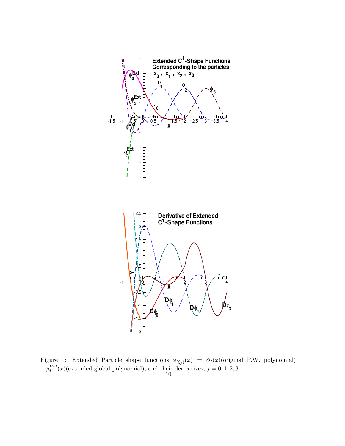

Figure 1: Extended Particle shape functions  $\hat{\phi}_{(\xi_j)}(x) = \overline{\phi}_j(x)$  (original P.W. polynomial)  $+\phi_j^{Ext}(x)$ (extended global polynomial), and their derivatives,  $j = 0, 1, 2, 3$ .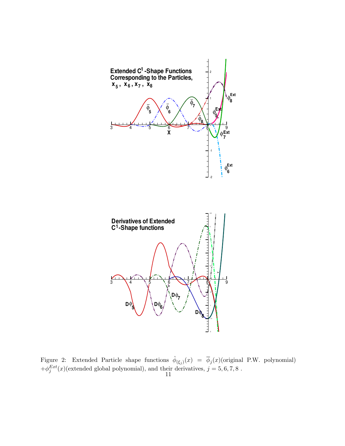

Figure 2: Extended Particle shape functions  $\hat{\phi}_{(\xi_j)}(x) = \overline{\phi}_j(x)$  (original P.W. polynomial)  $+\phi_j^{Ext}(x)$ (extended global polynomial), and their derivatives,  $j = 5, 6, 7, 8$ .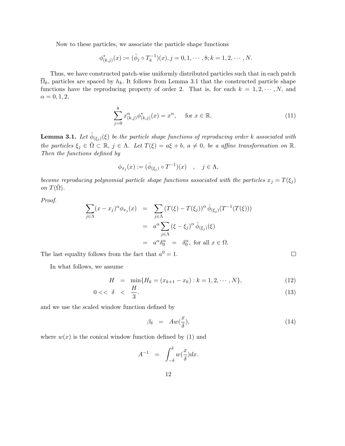Now to these particles, we associate the particle shape functions

$$
\phi_{(k,j)}^*(x) := (\hat{\phi}_j \circ T_k^{-1})(x), j = 0, 1, \cdots, 8; k = 1, 2, \cdots, N.
$$

Thus, we have constructed patch-wise uniformly distributed particles such that in each patch  $\overline{\Omega}_k$ , particles are spaced by  $h_k$ . It follows from Lemma 3.1 that the constructed particle shape functions have the reproducing property of order 2. That is, for each  $k = 1, 2, \cdots, N$ , and  $\alpha = 0, 1, 2,$ 

$$
\sum_{j=0}^{8} x_{(k,j)}^{\alpha} \phi_{(k,j)}^{*}(x) = x^{\alpha}, \quad \text{ for } x \in \mathbb{R}.
$$
 (11)

**Lemma 3.1.** Let  $\hat{\phi}_{(\xi_j)}(\xi)$  be the particle shape functions of reproducing order k associated with the particles  $\xi_j \in \hat{\Omega} \subset \mathbb{R}$ ,  $j \in \Lambda$ . Let  $T(\xi) = a\xi + b$ ,  $a \neq 0$ , be a affine transformation on  $\mathbb{R}$ . Then the functions defined by

$$
\phi_{x_j}(x) := (\hat{\phi}_{(\xi_j)} \circ T^{-1})(x) \quad , \quad j \in \Lambda,
$$

become reproducing polynomial particle shape functions associated with the particles  $x_j = T(\xi_j)$ on  $T(\hat{\Omega})$ .

Proof.

$$
\sum_{j \in \Lambda} (x - x_j)^{\alpha} \phi_{x_j}(x) = \sum_{j \in \Lambda} (T(\xi) - T(\xi_j))^{\alpha} \hat{\phi}_{(\xi_j)}(T^{-1}(T(\xi)))
$$
  

$$
= a^{\alpha} \sum_{j \in \Lambda} (\xi - \xi_j)^{\alpha} \hat{\phi}_{(\xi_j)}(\xi)
$$
  

$$
= a^{\alpha} \delta_0^{\alpha} = \delta_0^{\alpha}, \text{ for all } x \in \Omega.
$$

The last equality follows from the fact that  $a^0 = 1$ .

In what follows, we assume

$$
H = \min\{H_k = (x_{k+1} - x_k) : k = 1, 2, \cdots, N\},\tag{12}
$$

$$
0 << \delta \quad < \quad \frac{H}{3}.\tag{13}
$$

and we use the scaled window function defined by

$$
\beta_{\delta} = Aw(\frac{x}{\delta}), \qquad (14)
$$

 $\Box$ 

where  $w(x)$  is the conical window function defined by (1) and

$$
A^{-1} = \int_{-\delta}^{\delta} w(\frac{x}{\delta}) dx.
$$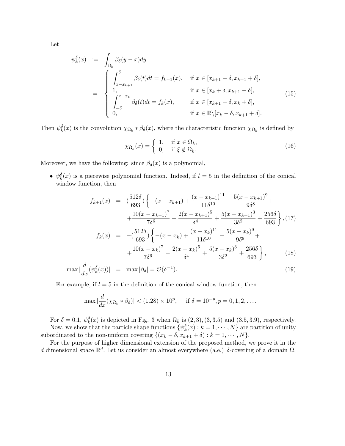Let

$$
\psi_k^{\delta}(x) := \int_{\Omega_k} \beta_{\delta}(y-x) dy
$$
\n
$$
= \begin{cases}\n\int_{x-x_{k+1}}^{\delta} \beta_{\delta}(t) dt = f_{k+1}(x), & \text{if } x \in [x_{k+1} - \delta, x_{k+1} + \delta], \\
1, & \text{if } x \in [x_k + \delta, x_{k+1} - \delta], \\
\int_{-\delta}^{x-x_k} \beta_{\delta}(t) dt = f_k(x), & \text{if } x \in [x_{k+1} - \delta, x_k + \delta], \\
0, & \text{if } x \in \mathbb{R} \setminus [x_k - \delta, x_{k+1} + \delta].\n\end{cases}
$$
\n(15)

Then  $\psi_k^{\delta}(x)$  is the convolution  $\chi_{\Omega_k} * \beta_{\delta}(x)$ , where the characteristic function  $\chi_{\Omega_k}$  is defined by

$$
\chi_{\Omega_k}(x) = \begin{cases} 1, & \text{if } x \in \Omega_k, \\ 0, & \text{if } \xi \notin \Omega_k. \end{cases}
$$
 (16)

Moreover, we have the following: since  $\beta_{\delta}(x)$  is a polynomial,

•  $\psi_k^{\delta}(x)$  is a piecewise polynomial function. Indeed, if  $l = 5$  in the definition of the conical window function, then

$$
f_{k+1}(x) = \left(\frac{512\delta}{693}\right) \left\{ -(x - x_{k+1}) + \frac{(x - x_{k+1})^{11}}{11\delta^{10}} - \frac{5(x - x_{k+1})^9}{9\delta^8} + \frac{10(x - x_{k+1})^7}{7\delta^6} - \frac{2(x - x_{k+1})^5}{\delta^4} + \frac{5(x - x_{k+1})^3}{3\delta^2} + \frac{256\delta}{693} \right\}, (17)
$$
  

$$
f_k(x) = -\left(\frac{512\delta}{693}\right) \left\{ -(x - x_k) + \frac{(x - x_k)^{11}}{11\delta^{10}} - \frac{5(x - x_k)^9}{9\delta^8} + \frac{10(x - x_k)^7}{7\delta^6} - \frac{2(x - x_k)^5}{\delta^4} + \frac{5(x - x_k)^3}{3\delta^2} + \frac{256\delta}{693} \right\}, (18)
$$

$$
\max |\frac{d}{dx}(\psi_k^{\delta}(x))| = \max |\beta_{\delta}| = \mathcal{O}(\delta^{-1}). \tag{19}
$$

For example, if  $l = 5$  in the definition of the conical window function, then

$$
\max |\frac{d}{dx}(\chi_{\Omega_k} * \beta_\delta)| < (1.28) \times 10^p, \quad \text{if } \delta = 10^{-p}, p = 0, 1, 2, \dots.
$$

For  $\delta = 0.1$ ,  $\psi_k^{\delta}(x)$  is depicted in Fig. 3 when  $\Omega_k$  is  $(2,3)$ ,  $(3,3.5)$  and  $(3.5,3.9)$ , respectively. Now, we show that the particle shape functions  $\{\psi_k^{\delta}(x) : k = 1, \dots, N\}$  are partition of unity

subordinated to the non-uniform covering  $\{(x_k - \delta, x_{k+1} + \delta) : k = 1, \cdots, N\}.$ 

For the purpose of higher dimensional extension of the proposed method, we prove it in the d dimensional space  $\mathbb{R}^d$ . Let us consider an almost everywhere (a.e.) δ-covering of a domain  $\Omega$ ,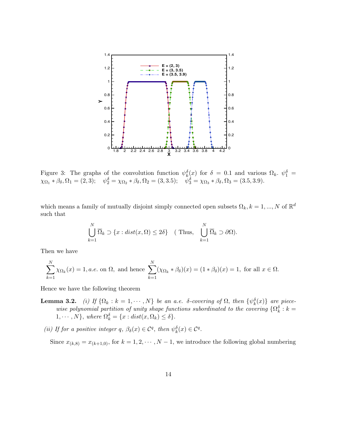

Figure 3: The graphs of the convolution function  $\psi_k^{\delta}(x)$  for  $\delta = 0.1$  and various  $\Omega_k$ .  $\psi_1^{\delta} =$  $\chi_{\Omega_1} * \beta_\delta, \Omega_1 = (2, 3); \quad \psi_2^{\delta} = \chi_{\Omega_2} * \beta_\delta, \Omega_2 = (3, 3.5); \quad \psi_3^{\delta} = \chi_{\Omega_3} * \beta_\delta, \Omega_3 = (3.5, 3.9).$ 

which means a family of mutually disjoint simply connected open subsets  $\Omega_k, k = 1, ..., N$  of  $\mathbb{R}^d$ such that

$$
\bigcup_{k=1}^{N} \overline{\Omega}_k \supset \{x : dist(x, \Omega) \le 2\delta\} \quad (\text{Thus, } \bigcup_{k=1}^{N} \overline{\Omega}_k \supset \partial \Omega).
$$

Then we have

$$
\sum_{k=1}^{N} \chi_{\Omega_k}(x) = 1, a.e. \text{ on } \Omega, \text{ and hence } \sum_{k=1}^{N} (\chi_{\Omega_k} * \beta_\delta)(x) = (1 * \beta_\delta)(x) = 1, \text{ for all } x \in \Omega.
$$

Hence we have the following theorem

- **Lemma 3.2.** (i) If  $\{\Omega_k : k = 1, \dots, N\}$  be an a.e. δ-covering of  $\Omega$ , then  $\{\psi_k^{\delta}(x)\}\$  are piecewise polynomial partition of unity shape functions subordinated to the covering  $\{\Omega_k^{\delta}: k =$  $1, \cdots, N$ , where  $\Omega_k^{\delta} = \{x : dist(x, \Omega_k) \leq \delta\}.$ 
	- (ii) If for a positive integer q,  $\beta_{\delta}(x) \in C^q$ , then  $\psi_{k}^{\delta}(x) \in C^q$ .

Since  $x_{(k,8)} = x_{(k+1,0)}$ , for  $k = 1, 2, \dots, N-1$ , we introduce the following global numbering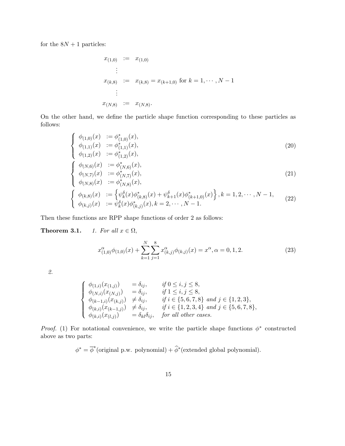for the  $8N + 1$  particles:

$$
x_{(1,0)} := x_{(1,0)}
$$
  
\n
$$
\vdots
$$
  
\n
$$
x_{(k,8)} := x_{(k,8)} = x_{(k+1,0)} \text{ for } k = 1, \dots, N-1
$$
  
\n
$$
\vdots
$$
  
\n
$$
x_{(N,8)} := x_{(N,8)}.
$$

On the other hand, we define the particle shape function corresponding to these particles as follows:

$$
\begin{cases}\n\phi_{(1,0)}(x) & := \phi_{(1,0)}^*(x), \\
\phi_{(1,1)}(x) & := \phi_{(1,1)}^*(x), \\
\phi_{(1,2)}(x) & := \phi_{(1,2)}^*(x),\n\end{cases}
$$
\n(20)

$$
\begin{cases}\n\phi_{(N,6)}(x) & := \phi_{(N,6)}^*(x), \\
\phi_{(N,7)}(x) & := \phi_{(N,7)}^*(x), \\
\phi_{(N,8)}(x) & := \phi_{(N,8)}^*(x),\n\end{cases}
$$
\n(21)

$$
\begin{cases} \phi_{(k,8)}(x) &:= \left\{ \psi_k^{\delta}(x)\phi_{(k,8)}^*(x) + \psi_{k+1}^{\delta}(x)\phi_{(k+1,0)}^*(x) \right\}, k=1,2,\cdots,N-1, \\ \phi_{(k,j)}(x) &:= \psi_k^{\delta}(x)\phi_{(k,j)}^*(x), k=2,\cdots,N-1. \end{cases} \tag{22}
$$

Then these functions are RPP shape functions of order 2 as follows:

**Theorem 3.1.** 1. For all  $x \in \Omega$ ,

$$
x_{(1,0)}^{\alpha}\phi_{(1,0)}(x) + \sum_{k=1}^{N} \sum_{j=1}^{8} x_{(k,j)}^{\alpha}\phi_{(k,j)}(x) = x^{\alpha}, \alpha = 0, 1, 2.
$$
 (23)

2.

$$
\begin{cases}\n\phi_{(1,i)}(x_{(1,j)}) = \delta_{ij}, & if 0 \leq i, j \leq 8, \\
\phi_{(N,i)}(x_{(N,j)}) = \delta_{ij}, & if 1 \leq i, j \leq 8, \\
\phi_{(k-1,i)}(x_{(k,j)}) \neq \delta_{ij}, & if i \in \{5, 6, 7, 8\} \text{ and } j \in \{1, 2, 3\}, \\
\phi_{(k,i)}(x_{(k-1,j)}) \neq \delta_{ij}, & if i \in \{1, 2, 3, 4\} \text{ and } j \in \{5, 6, 7, 8\}, \\
\phi_{(k,i)}(x_{(k-1,j)}) = \delta_{kl}\delta_{ij}, & for all other cases.\n\end{cases}
$$

Proof. (1) For notational convenience, we write the particle shape functions  $\phi^*$  constructed above as two parts:

$$
\phi^* = \overline{\phi}^*(\text{original p.w. polynomial}) + \widehat{\phi}^*(\text{extended global polynomial}).
$$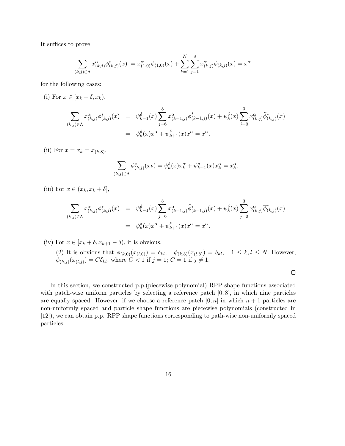It suffices to prove

$$
\sum_{(k,j)\in\Lambda} x^{\alpha}_{(k,j)} \phi^*_{(k,j)}(x) := x^{\alpha}_{(1,0)} \phi_{(1,0)}(x) + \sum_{k=1}^N \sum_{j=1}^8 x^{\alpha}_{(k,j)} \phi_{(k,j)}(x) = x^{\alpha}
$$

for the following cases:

(i) For  $x \in [x_k - \delta, x_k)$ ,

$$
\sum_{(k,j)\in\Lambda} x^{\alpha}_{(k,j)} \phi^*_{(k,j)}(x) = \psi^{\delta}_{k-1}(x) \sum_{j=6}^8 x^{\alpha}_{(k-1,j)} \overline{\phi}^*_{(k-1,j)}(x) + \psi^{\delta}_{k}(x) \sum_{j=0}^3 x^{\alpha}_{(k,j)} \widehat{\phi}^*_{(k,j)}(x) \n= \psi^{\delta}_{k}(x) x^{\alpha} + \psi^{\delta}_{k+1}(x) x^{\alpha} = x^{\alpha}.
$$

(ii) For  $x = x_k = x_{(k,8)}$ ,

$$
\sum_{(k,j)\in\Lambda} \phi_{(k,j)}^*(x_k) = \psi_k^{\delta}(x) x_k^{\alpha} + \psi_{k+1}^{\delta}(x) x_k^{\alpha} = x_k^{\alpha}.
$$

(iii) For  $x \in (x_k, x_k + \delta],$ 

$$
\sum_{(k,j)\in\Lambda} x^{\alpha}_{(k,j)} \phi^*_{(k,j)}(x) = \psi^{\delta}_{k-1}(x) \sum_{j=6}^{8} x^{\alpha}_{(k-1,j)} \widehat{\phi}^*_{(k-1,j)}(x) + \psi^{\delta}_{k}(x) \sum_{j=0}^{3} x^{\alpha}_{(k,j)} \overline{\phi}^*_{(k,j)}(x)
$$

$$
= \psi^{\delta}_{k}(x) x^{\alpha} + \psi^{\delta}_{k+1}(x) x^{\alpha} = x^{\alpha}.
$$

(iv) For  $x \in [x_k + \delta, x_{k+1} - \delta)$ , it is obvious.

(2) It is obvious that  $\phi_{(k,0)}(x_{(l,0)}) = \delta_{kl}$ ,  $\phi_{(k,8)}(x_{(l,8)}) = \delta_{kl}$ ,  $1 \leq k, l \leq N$ . However,  $\phi_{(k,j)}(x_{(l,j)}) = C\delta_{kl}$ , where  $C < 1$  if  $j = 1$ ;  $C = 1$  if  $j \neq 1$ .

In this section, we constructed p.p.(piecewise polynomial) RPP shape functions associated with patch-wise uniform particles by selecting a reference patch  $[0, 8]$ , in which nine particles are equally spaced. However, if we choose a reference patch  $[0, n]$  in which  $n + 1$  particles are non-uniformly spaced and particle shape functions are piecewise polynomials (constructed in [12]), we can obtain p.p. RPP shape functions corresponding to path-wise non-uniformly spaced particles.

 $\Box$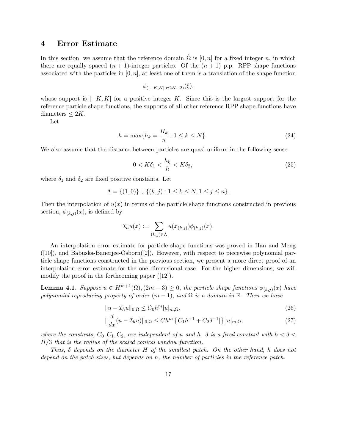#### 4 Error Estimate

In this section, we assume that the reference domain  $\Omega$  is  $[0, n]$  for a fixed integer n, in which there are equally spaced  $(n + 1)$ -integer particles. Of the  $(n + 1)$  p.p. RPP shape functions associated with the particles in  $[0, n]$ , at least one of them is a translation of the shape function

$$
\phi_{([-K,K];r;2K-2)}(\xi),
$$

whose support is  $[-K, K]$  for a positive integer K. Since this is the largest support for the reference particle shape functions, the supports of all other reference RPP shape functions have diameters  $\leq 2K$ .

Let

$$
h = \max\{h_k = \frac{H_k}{n} : 1 \le k \le N\}.
$$
\n(24)

We also assume that the distance between particles are quasi-uniform in the following sense:

$$
0 < K\delta_1 < \frac{h_k}{h} < K\delta_2,\tag{25}
$$

where  $\delta_1$  and  $\delta_2$  are fixed positive constants. Let

$$
\Lambda = \{(1,0)\} \cup \{(k,j) : 1 \le k \le N, 1 \le j \le n\}.
$$

Then the interpolation of  $u(x)$  in terms of the particle shape functions constructed in previous section,  $\phi_{(k,j)}(x)$ , is defined by

$$
\mathcal{I}_h u(x) := \sum_{(k,j) \in \Lambda} u(x_{(k,j)}) \phi_{(k,j)}(x).
$$

An interpolation error estimate for particle shape functions was proved in Han and Meng  $([10])$ , and Babuska-Banerjee-Osborn $([2])$ . However, with respect to piecewise polynomial particle shape functions constructed in the previous section, we present a more direct proof of an interpolation error estimate for the one dimensional case. For the higher dimensions, we will modify the proof in the forthcoming paper ([12]).

**Lemma 4.1.** Suppose  $u \in H^{m+1}(\Omega), (2m-3) \geq 0$ , the particle shape functions  $\phi_{(k,j)}(x)$  have polynomial reproducing property of order  $(m-1)$ , and  $\Omega$  is a domain in R. Then we have

$$
||u - \mathcal{I}_h u||_{0,\Omega} \le C_0 h^m |u|_{m,\Omega},\tag{26}
$$

$$
\|\frac{d}{dx}(u - \mathcal{I}_h u)\|_{0,\Omega} \le Ch^m \left\{C_1 h^{-1} + C_2 \delta^{-1}\right\} |u|_{m,\Omega},\tag{27}
$$

where the constants,  $C_0, C_1, C_2$ , are independent of u and h.  $\delta$  is a fixed constant with  $h < \delta <$  $H/3$  that is the radius of the scaled conical window function.

Thus,  $\delta$  depends on the diameter H of the smallest patch. On the other hand, h does not depend on the patch sizes, but depends on n, the number of particles in the reference patch.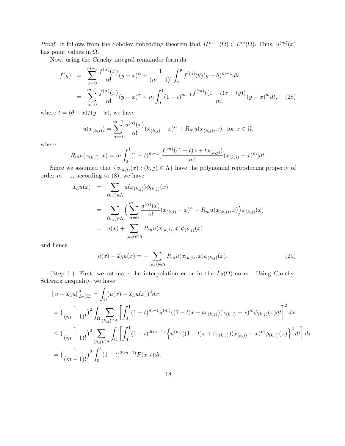*Proof.* It follows from the Sobolev imbedding theorem that  $H^{m+1}(\Omega) \subset C^m(\Omega)$ . Thus,  $u^{(m)}(x)$ has point values in  $\Omega$ .

Now, using the Cauchy integral remainder formula:

$$
f(y) = \sum_{\alpha=0}^{m-1} \frac{f^{(\alpha)}(x)}{\alpha!} (y-x)^{\alpha} + \frac{1}{(m-1)!} \int_x^y f^{(m)}(\theta) (y-\theta)^{m-1} d\theta
$$
  
= 
$$
\sum_{\alpha=0}^{m-1} \frac{f^{(\alpha)}(x)}{\alpha!} (y-x)^{\alpha} + m \int_0^1 (1-t)^{m-1} \frac{f^{(m)}((1-t)x+ty))}{m!} (y-x)^m dt, \quad (28)
$$

where  $t = (\theta - x)/(y - x)$ , we have

$$
u(x_{(k,j)}) = \sum_{\alpha=0}^{m-1} \frac{u^{(\alpha)}(x)}{\alpha!} (x_{(k,j)} - x)^{\alpha} + R_m u(x_{(k,j)}, x), \text{ for } x \in \Omega,
$$

where

$$
R_m u(x_{(k,j)}, x) = m \int_0^1 (1-t)^{m-1} \left[ \frac{f^{(m)}((1-t)x + tx_{(k,j)})}{m!} (x_{(k,j)} - x)^m \right] dt.
$$

Since we assumed that  $\{\phi_{(k,j)}(x) : (k,j) \in \Lambda\}$  have the polynomial reproducing property of order  $m-1$ , according to  $(8)$ , we have

$$
\mathcal{I}_h u(x) = \sum_{(k,j) \in \Lambda} u(x_{(k,j)}) \phi_{(k,j)}(x)
$$
  
\n
$$
= \sum_{(k,j) \in \Lambda} \Big( \sum_{\alpha=0}^{m-1} \frac{u^{(\alpha)}(x)}{\alpha!} (x_{(k,j)} - x)^{\alpha} + R_m u(x_{(k,j)}, x) \Big) \phi_{(k,j)}(x)
$$
  
\n
$$
= u(x) + \sum_{(k,j) \in \Lambda} R_m u(x_{(k,j)}, x) \phi_{(k,j)}(x)
$$

and hence

$$
u(x) - \mathcal{I}_h u(x) = - \sum_{(k,j)\in\Lambda} R_m u(x_{(k,j)}, x) \phi_{(k,j)}(x).
$$
 (29)

(Step 1:) First, we estimate the interpolation error in the  $L_2(\Omega)$ -norm. Using Cauchy-Schwarz inequality, we have

$$
||u - \mathcal{I}_h u||_{L_2(\Omega)}^2 = \int_{\Omega} (u(x) - \mathcal{I}_h u(x))^2 dx
$$
  
\n
$$
= \left(\frac{1}{(m-1)!}\right)^2 \int_{\Omega} \sum_{(k,j)\in\Lambda} \left[ \int_0^1 (1-t)^{m-1} u^{(m)}((1-t)x + tx_{(k,j)})(x_{(k,j)} - x)^m \phi_{(k,j)}(x) dt \right]^2 dx
$$
  
\n
$$
\leq \left(\frac{1}{(m-1)!}\right)^2 \sum_{(k,j)\in\Lambda} \int_{\Omega} \left[ \int_0^1 (1-t)^{2(m-1)} \left\{ u^{(m)}((1-t)x + tx_{(k,j)})(x_{(k,j)} - x)^m \phi_{(k,j)}(x) \right\}^2 dt \right] dx
$$
  
\n
$$
= \left(\frac{1}{(m-1)!}\right)^2 \int_0^1 (1-t)^{2(m-1)} F(x,t) dt,
$$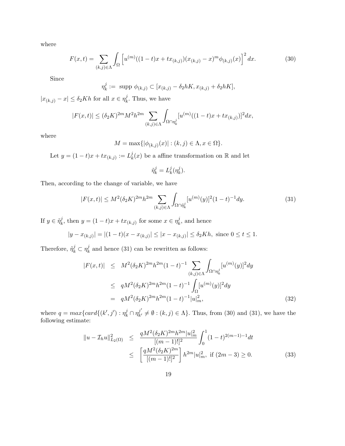where

$$
F(x,t) = \sum_{(k,j)\in\Lambda} \int_{\Omega} \left[ u^{(m)}((1-t)x + tx_{(k,j)})(x_{(k,j)} - x)^m \phi_{(k,j)}(x) \right]^2 dx.
$$
 (30)

Since

$$
\eta_k^j := \text{ supp } \phi_{(k,j)} \subset [x_{(k,j)} - \delta_2 hK, x_{(k,j)} + \delta_2 hK],
$$

 $|x_{(k,j)}-x|\leq \delta_2 Kh$  for all  $x\in \eta_k^j$  $\chi_k^j$ . Thus, we have

$$
|F(x,t)| \le (\delta_2 K)^{2m} M^2 h^{2m} \sum_{(k,j)\in\Lambda} \int_{\Omega \cap \eta_k^j} [u^{(m)}((1-t)x + tx_{(k,j)})]^2 dx,
$$

where

$$
M = \max\{|\phi_{(k,j)}(x)| : (k,j) \in \Lambda, x \in \Omega\}.
$$

Let  $y = (1-t)x + tx_{(k,j)} := L_k^j$  $k(x)$  be a affine transformation on R and let

$$
\tilde{\eta}_k^j = L_k^j(\eta_k^j).
$$

Then, according to the change of variable, we have

$$
|F(x,t)| \le M^2(\delta_2 K)^{2m} h^{2m} \sum_{(k,j)\in\Lambda} \int_{\Omega \cap \tilde{\eta}_k^j} [u^{(m)}(y)]^2 (1-t)^{-1} dy. \tag{31}
$$

If  $y \in \tilde{\eta}^j_k$  $x_k^j$ , then  $y = (1 - t)x + tx_{(k,j)}$  for some  $x \in \eta_k^j$  $\lambda_k^j$ , and hence

$$
|y - x_{(k,j)}| = |(1-t)(x - x_{(k,j)}| \le |x - x_{(k,j)}| \le \delta_2 Kh, \text{ since } 0 \le t \le 1.
$$

Therefore,  $\tilde{\eta}_k^j \subset \eta_k^j$  $\frac{J}{k}$  and hence (31) can be rewritten as follows:

$$
|F(x,t)| \leq M^2(\delta_2 K)^{2m} h^{2m} (1-t)^{-1} \sum_{(k,j)\in\Lambda} \int_{\Omega \cap \eta_k^j} [u^{(m)}(y)]^2 dy
$$
  
\n
$$
\leq q M^2(\delta_2 K)^{2m} h^{2m} (1-t)^{-1} \int_{\Omega} [u^{(m)}(y)]^2 dy
$$
  
\n
$$
= q M^2(\delta_2 K)^{2m} h^{2m} (1-t)^{-1} |u|_m^2,
$$
\n(32)

where  $q = max\{card\{(k', j') : \eta_k^j \cap \eta_{k'}^{j'}\}$  $\mathcal{F}_{k'}^{\jmath} \neq \emptyset$  :  $(k, j) \in \Lambda$ . Thus, from (30) and (31), we have the following estimate:

$$
\|u - \mathcal{I}_h u\|_{L_2(\Omega)}^2 \le \frac{qM^2(\delta_2 K)^{2m} h^{2m} |u|_m^2}{[(m-1)!]^2} \int_0^1 (1-t)^{2(m-1)-1} dt
$$
  

$$
\le \left[ \frac{qM^2(\delta_2 K)^{2m}}{[(m-1)!]^2} \right] h^{2m} |u|_m^2, \text{ if } (2m-3) \ge 0. \tag{33}
$$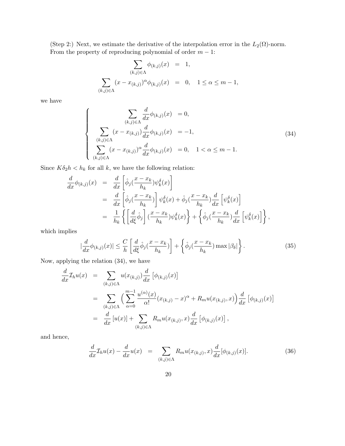(Step 2:) Next, we estimate the derivative of the interpolation error in the  $L_2(\Omega)$ -norm. From the property of reproducing polynomial of order  $m - 1$ :

$$
\sum_{(k,j)\in\Lambda} \phi_{(k,j)}(x) = 1,
$$
  

$$
\sum_{(k,j)\in\Lambda} (x - x_{(k,j)})^{\alpha} \phi_{(k,j)}(x) = 0, \quad 1 \le \alpha \le m-1,
$$

we have

$$
\begin{cases}\n\sum_{(k,j)\in\Lambda} \frac{d}{dx} \phi_{(k,j)}(x) = 0, \\
\sum_{(k,j)\in\Lambda} (x - x_{(k,j)}) \frac{d}{dx} \phi_{(k,j)}(x) = -1, \\
\sum_{(k,j)\in\Lambda} (x - x_{(k,j)})^{\alpha} \frac{d}{dx} \phi_{(k,j)}(x) = 0, \quad 1 < \alpha \le m - 1.\n\end{cases}
$$
\n(34)

Since  $K\delta_2 h < h_k$  for all  $k$ , we have the following relation:

$$
\frac{d}{dx}\phi_{(k,j)}(x) = \frac{d}{dx}\left[\hat{\phi}_j(\frac{x-x_k}{h_k})\psi_k^{\delta}(x)\right]
$$
\n
$$
= \frac{d}{dx}\left[\hat{\phi}_j(\frac{x-x_k}{h_k})\right]\psi_k^{\delta}(x) + \hat{\phi}_j(\frac{x-x_k}{h_k})\frac{d}{dx}\left[\psi_k^{\delta}(x)\right]
$$
\n
$$
= \frac{1}{h_k}\left\{\left[\frac{d}{d\xi}\hat{\phi}_j\right](\frac{x-x_k}{h_k})\psi_k^{\delta}(x)\right\} + \left\{\hat{\phi}_j(\frac{x-x_k}{h_k})\frac{d}{dx}\left[\psi_k^{\delta}(x)\right]\right\},
$$

which implies

$$
\left|\frac{d}{dx}\phi_{(k,j)}(x)\right| \leq \frac{C}{h} \left[\frac{d}{d\xi}\hat{\phi}_j(\frac{x-x_k}{h_k})\right] + \left\{\hat{\phi}_j(\frac{x-x_k}{h_k})\max|\beta_\delta|\right\}.
$$
 (35)

Now, applying the relation (34), we have

$$
\frac{d}{dx}\mathcal{I}_h u(x) = \sum_{(k,j)\in\Lambda} u(x_{(k,j)}) \frac{d}{dx} [\phi_{(k,j)}(x)]
$$
\n
$$
= \sum_{(k,j)\in\Lambda} \Big( \sum_{\alpha=0}^{m-1} \frac{u^{(\alpha)}(x)}{\alpha!} (x_{(k,j)} - x)^{\alpha} + R_m u(x_{(k,j)}, x) \Big) \frac{d}{dx} [\phi_{(k,j)}(x)]
$$
\n
$$
= \frac{d}{dx} [u(x)] + \sum_{(k,j)\in\Lambda} R_m u(x_{(k,j)}, x) \frac{d}{dx} [\phi_{(k,j)}(x)],
$$

and hence,

$$
\frac{d}{dx}\mathcal{I}_h u(x) - \frac{d}{dx}u(x) = \sum_{(k,j)\in\Lambda} R_m u(x_{(k,j)}, x) \frac{d}{dx}[\phi_{(k,j)}(x)].
$$
\n(36)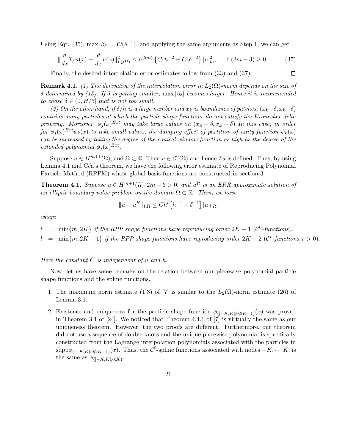Using Eqt. (35), max  $|\beta_{\delta}| = \mathcal{O}(\delta^{-1})$ , and applying the same arguments as Step 1, we can get

$$
\|\frac{d}{dx}\mathcal{I}_h u(x) - \frac{d}{dx}u(x)\|_{L_2(\Omega)}^2 \le h^{(2m)} \left\{C_1h^{-2} + C_2\delta^{-2}\right\} |u|_m^2, \quad \text{if } (2m-3) \ge 0. \tag{37}
$$

 $\Box$ 

Finally, the desired interpolation error estimates follow from (33) and (37).

**Remark 4.1.** (1) The derivative of the interpolation error in  $L_2(\Omega)$ -norm depends on the size of δ determined by (13). If δ is getting smaller,  $\max|\beta_{\delta}|$  becomes larger. Hence it is recommended to chose  $\delta \in (0, H/3]$  that is not too small.

(2) On the other hand, if  $\delta/h$  is a large number and  $x_k$  is boundaries of patches,  $(x_k-\delta, x_k+\delta)$ contains many particles at which the particle shape functions do not satisfy the Kronecker delta property. Moreover,  $\phi_j(x)^{Ext}$  may take large values on  $(x_k - \delta, x_k + \delta)$  In this case, in order for  $\phi_j(x)^{Ext}\psi_k(x)$  to take small values, the damping effect of partition of unity function  $\psi_k(x)$ can be increased by taking the degree of the conical window function as high as the degree of the extended polynomial  $\phi_j(x)^{Ext}$ .

Suppose  $u \in H^{m+1}(\Omega)$ , and  $\Omega \subset \mathbb{R}$ . Then  $u \in C^{0}(\Omega)$  and hence  $\mathcal{I}u$  is defined. Thus, by using Lemma 4.1 and  $C\acute{e}a$ 's theorem, we have the following error estimate of Reproducing Polynomial Particle Method (RPPM) whose global basis functions are constructed in section 3:

**Theorem 4.1.** Suppose  $u \in H^{m+1}(\Omega)$ ,  $2m-3 > 0$ , and  $u^R$  is an ERR approximate solution of an elliptic boundary value problem on the domain  $\Omega \subset \mathbb{R}$ . Then, we have

$$
||u - uR||_{1,\Omega} \le Chl [h-1 + \delta-1] |u|_{l,\Omega}.
$$

where

- $l = \min\{m, 2K\}$  if the RPP shape functions have reproducing order  $2K 1$  ( $\mathcal{C}^0$ -functions),
- $l = \min\{m, 2K 1\}$  if the RPP shape functions have reproducing order  $2K 2$  (C<sup>r</sup>-functions,  $r > 0$ ).

Here the constant  $C$  is independent of  $u$  and  $h$ .

Now, let us have some remarks on the relation between our piecewise polynomial particle shape functions and the spline functions.

- 1. The maximum norm estimate (1.3) of [7] is similar to the  $L_2(\Omega)$ -norm estimate (26) of Lemma 3.1.
- 2. Existence and uniqueness for the particle shape function  $\phi_{([-K,K],0;2K-1)}(x)$  was proved in Theorem 3.1 of [24]. We noticed that Theorem 4.4.1 of [7] is virtually the same as our uniqueness theorem. However, the two proofs are different. Furthermore, our theorem did not use a sequence of double knots and the unique piecewise polynomial is specifically constructed from the Lagrange interpolation polynomials associated with the particles in  $\text{supp}\phi_{([-K,K],0;2K-1)}(x)$ . Thus, the  $\mathcal{C}^0$ -spline functions associated with nodes  $-K, \cdots K$ , is the same as  $\phi_{([-K,K];0;K)}$ .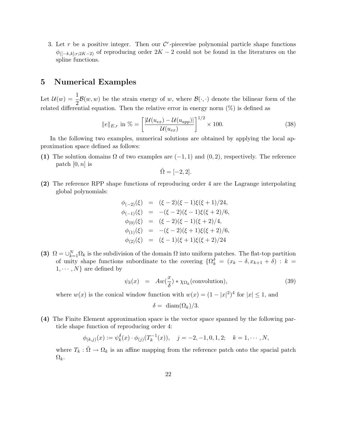3. Let r be a positive integer. Then our  $\mathcal{C}^r$ -piecewise polynomial particle shape functions  $\phi_{([-k,k];r;2K-2)}$  of reproducing order  $2K-2$  could not be found in the literatures on the spline functions.

#### 5 Numerical Examples

Let  $\mathcal{U}(w) = \frac{1}{2}$  $\frac{1}{2}$  $\mathcal{B}(w, w)$  be the strain energy of w, where  $\mathcal{B}(\cdot, \cdot)$  denote the bilinear form of the related differential equation. Then the relative error in energy norm  $(\%)$  is defined as

$$
||e||_{E,r} \text{ in } \% = \left[\frac{|\mathcal{U}(u_{ex}) - \mathcal{U}(u_{app})|}{\mathcal{U}(u_{ex})}\right]^{1/2} \times 100. \tag{38}
$$

In the following two examples, numerical solutions are obtained by applying the local approximation space defined as follows:

(1) The solution domains  $\Omega$  of two examples are  $(-1, 1)$  and  $(0, 2)$ , respectively. The reference patch  $[0, n]$  is

$$
\hat{\Omega} = [-2, 2].
$$

(2) The reference RPP shape functions of reproducing order 4 are the Lagrange interpolating global polynomials:

$$
\begin{array}{rcl}\n\phi_{(-2)}(\xi) & = & (\xi - 2)(\xi - 1)\xi(\xi + 1)/24, \\
\phi_{(-1)}(\xi) & = & -(\xi - 2)(\xi - 1)\xi(\xi + 2)/6, \\
\phi_{(0)}(\xi) & = & (\xi - 2)(\xi - 1)(\xi + 2)/4, \\
\phi_{(1)}(\xi) & = & -(\xi - 2)(\xi + 1)\xi(\xi + 2)/6, \\
\phi_{(2)}(\xi) & = & (\xi - 1)(\xi + 1)\xi(\xi + 2)/24\n\end{array}
$$

(3)  $\Omega = \bigcup_{k=1}^{N} \Omega_k$  is the subdivision of the domain  $\Omega$  into uniform patches. The flat-top partition of unity shape functions subordinate to the covering  $\{\Omega_k^{\delta} = (x_k - \delta, x_{k+1} + \delta) : k =$  $1, \cdots, N$  are defined by

$$
\psi_{\delta}(x) = Aw(\frac{x}{\delta}) * \chi_{\Omega_k}(\text{convolution}), \qquad (39)
$$

where  $w(x)$  is the conical window function with  $w(x) = (1 - |x|^2)^4$  for  $|x| \leq 1$ , and

$$
\delta = \dim(\Omega_k)/3.
$$

(4) The Finite Element approximation space is the vector space spanned by the following particle shape function of reproducing order 4:

$$
\phi_{(k,j)}(x) := \psi_k^{\delta}(x) \cdot \phi_{(j)}(T_k^{-1}(x)), \quad j = -2, -1, 0, 1, 2; \quad k = 1, \cdots, N,
$$

where  $T_k : \hat{\Omega} \to \Omega_k$  is an affine mapping from the reference patch onto the spacial patch  $\Omega_k$ .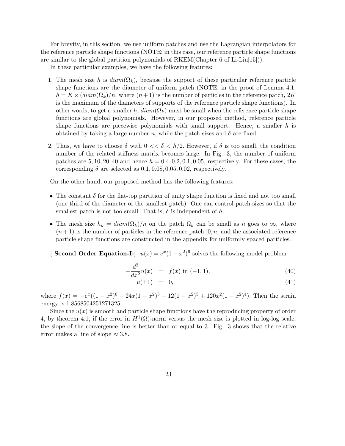For brevity, in this section, we use uniform patches and use the Lagrangian interpolators for the reference particle shape functions (NOTE: in this case, our reference particle shape functions are similar to the global partition polynomials of  $RKEM(Chapter 6$  of  $Li-Liu[15])$ .

In these particular examples, we have the following features:

- 1. The mesh size h is  $diam(\Omega_k)$ , because the support of these particular reference particle shape functions are the diameter of uniform patch (NOTE: in the proof of Lemma 4.1,  $h = K \times (diam(\Omega_k)/n$ , where  $(n+1)$  is the number of particles in the reference patch, 2K is the maximum of the diameters of supports of the reference particle shape functions). In other words, to get a smaller h,  $diam(\Omega_k)$  must be small when the reference particle shape functions are global polynomials. However, in our proposed method, reference particle shape functions are piecewise polynomials with small support. Hence, a smaller  $h$  is obtained by taking a large number n, while the patch sizes and  $\delta$  are fixed.
- 2. Thus, we have to choose  $\delta$  with  $0 \ll \delta \ll h/2$ . However, if  $\delta$  is too small, the condition number of the related stiffness matrix becomes large. In Fig. 3, the number of uniform patches are  $5, 10, 20, 40$  and hence  $h = 0.4, 0.2, 0.1, 0.05$ , respectively. For these cases, the corresponding  $\delta$  are selected as  $0.1, 0.08, 0.05, 0.02$ , respectively.

On the other hand, our proposed method has the following features:

- The constant  $\delta$  for the flat-top partition of unity shape function is fixed and not too small (one third of the diameter of the smallest patch). One can control patch sizes so that the smallest patch is not too small. That is,  $\delta$  is independent of h.
- The mesh size  $h_k = \text{diam}(\Omega_k)/n$  on the patch  $\Omega_k$  can be small as n goes to  $\infty$ , where  $(n+1)$  is the number of particles in the reference patch  $[0, n]$  and the associated reference particle shape functions are constructed in the appendix for uniformly spaced particles.
- [ Second Order Equation-I:]  $u(x) = e^x(1-x^2)^6$  solves the following model problem

$$
-\frac{d^2}{dx^2}u(x) = f(x) \text{ in } (-1,1), \tag{40}
$$

$$
u(\pm 1) = 0,\t\t(41)
$$

where  $f(x) = -e^x((1-x^2)^6 - 24x(1-x^2)^5 - 12(1-x^2)^5 + 120x^2(1-x^2)^4)$ . Then the strain energy is 1.8568504251271325.

Since the  $u(x)$  is smooth and particle shape functions have the reproducing property of order 4, by theorem 4.1, if the error in  $H^1(\Omega)$ -norm versus the mesh size is plotted in log-log scale, the slope of the convergence line is better than or equal to 3. Fig. 3 shows that the relative error makes a line of slope  $\approx 3.8$ .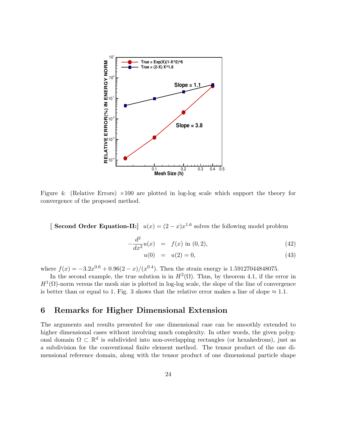

Figure 4: (Relative Errors)  $\times$ 100 are plotted in log-log scale which support the theory for convergence of the proposed method.

[ Second Order Equation-II:]  $u(x) = (2 - x)x^{1.6}$  solves the following model problem

$$
-\frac{d^2}{dx^2}u(x) = f(x) \text{ in } (0,2), \tag{42}
$$

$$
u(0) = u(2) = 0,\t(43)
$$

where  $f(x) = -3.2x^{0.6} + 0.96(2 - x)/(x^{0.4})$ . Then the strain energy is 1.59127044848075.

In the second example, the true solution is in  $H^2(\Omega)$ . Thus, by theorem 4.1, if the error in  $H^1(\Omega)$ -norm versus the mesh size is plotted in log-log scale, the slope of the line of convergence is better than or equal to 1. Fig. 3 shows that the relative error makes a line of slope  $\approx 1.1$ .

#### 6 Remarks for Higher Dimensional Extension

The arguments and results presented for one dimensional case can be smoothly extended to higher dimensional cases without involving much complexity. In other words, the given polygonal domain  $\Omega \subset \mathbb{R}^d$  is subdivided into non-overlapping rectangles (or hexahedrons), just as a subdivision for the conventional finite element method. The tensor product of the one dimensional reference domain, along with the tensor product of one dimensional particle shape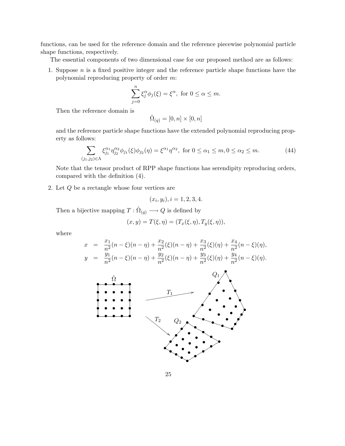functions, can be used for the reference domain and the reference piecewise polynomial particle shape functions, respectively.

The essential components of two dimensional case for our proposed method are as follows:

1. Suppose  $n$  is a fixed positive integer and the reference particle shape functions have the polynomial reproducing property of order m:

$$
\sum_{j=0}^{n} \xi_j^{\alpha} \phi_j(\xi) = \xi^{\alpha}, \text{ for } 0 \le \alpha \le m.
$$

Then the reference domain is

$$
\hat{\Omega}_{(q)} = [0,n] \times [0,n]
$$

and the reference particle shape functions have the extended polynomial reproducing property as follows:

$$
\sum_{(j_1,j_2)\in\Lambda} \xi_{j_1}^{\alpha_1} \eta_{j_2}^{\alpha_2} \phi_{j_1}(\xi) \phi_{j_2}(\eta) = \xi^{\alpha_1} \eta^{\alpha_2}, \text{ for } 0 \le \alpha_1 \le m, 0 \le \alpha_2 \le m.
$$
 (44)

Note that the tensor product of RPP shape functions has serendipity reproducing orders, compared with the definition (4).

2. Let Q be a rectangle whose four vertices are

$$
(x_i, y_i), i = 1, 2, 3, 4.
$$

Then a bijective mapping  $T: \hat{\Omega}_{(q)} \longrightarrow Q$  is defined by

$$
(x, y) = T(\xi, \eta) = (T_x(\xi, \eta), T_y(\xi, \eta)),
$$

where

$$
x = \frac{x_1}{n^2}(n-\xi)(n-\eta) + \frac{x_2}{n^2}(\xi)(n-\eta) + \frac{x_3}{n^2}(\xi)(\eta) + \frac{x_4}{n^2}(n-\xi)(\eta),
$$
  

$$
y = \frac{y_1}{n^2}(n-\xi)(n-\eta) + \frac{y_2}{n^2}(\xi)(n-\eta) + \frac{y_3}{n^2}(\xi)(\eta) + \frac{y_4}{n^2}(n-\xi)(\eta).
$$

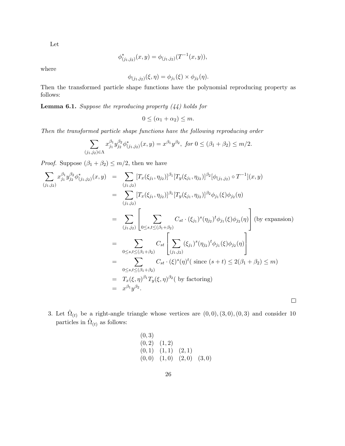Let

$$
\phi^*_{(j_1,j_2)}(x,y) = \phi_{(j_1,j_2)}(T^{-1}(x,y)),
$$

where

$$
\phi_{(j_1,j_2)}(\xi,\eta) = \phi_{j_1}(\xi) \times \phi_{j_2}(\eta).
$$

Then the transformed particle shape functions have the polynomial reproducing property as follows:

**Lemma 6.1.** Suppose the reproducing property  $(44)$  holds for

 $0 \leq (\alpha_1 + \alpha_2) \leq m$ .

Then the transformed particle shape functions have the following reproducing order

$$
\sum_{(j_1,j_2)\in\Lambda} x_{j_1}^{\beta_1} y_{j_2}^{\beta_2} \phi_{(j_1,j_2)}^*(x,y) = x^{\beta_1} y^{\beta_2}, \text{ for } 0 \leq (\beta_1 + \beta_2) \leq m/2.
$$

*Proof.* Suppose  $(\beta_1 + \beta_2) \le m/2$ , then we have

$$
\sum_{(j_1,j_2)} x_{j_1}^{\beta_1} y_{j_2}^{\beta_2} \phi_{(j_1,j_2)}^*(x,y) = \sum_{(j_1,j_2)} [T_x(\xi_{j_1}, \eta_{j_2})]^{\beta_1} [T_y(\xi_{j_1}, \eta_{j_2})]^{\beta_2} [\phi_{(j_1,j_2)} \circ T^{-1}](x,y)
$$
  
\n
$$
= \sum_{(j_1,j_2)} [T_x(\xi_{j_1}, \eta_{j_2})]^{\beta_1} [T_y(\xi_{j_1}, \eta_{j_2})]^{\beta_2} \phi_{j_1}(\xi) \phi_{j_2}(\eta)
$$
  
\n
$$
= \sum_{(j_1,j_2)} \left[ \sum_{0 \le s,t \le (\beta_1 + \beta_2)} C_{st} \cdot (\xi_{j_1})^s (\eta_{j_2})^t \phi_{j_1}(\xi) \phi_{j_2}(\eta) \right] \text{ (by expansion)}
$$
  
\n
$$
= \sum_{0 \le s,t \le (\beta_1 + \beta_2)} C_{st} \left[ \sum_{(j_1,j_2)} (\xi_{j_1})^s (\eta_{j_2})^t \phi_{j_1}(\xi) \phi_{j_2}(\eta) \right]
$$
  
\n
$$
= \sum_{0 \le s,t \le (\beta_1 + \beta_2)} C_{st} \cdot (\xi)^s (\eta)^t (\text{ since } (s+t) \le 2(\beta_1 + \beta_2) \le m)
$$
  
\n
$$
= T_x(\xi, \eta)^{\beta_1} T_y(\xi, \eta)^{\beta_2} (\text{ by factoring})
$$
  
\n
$$
= x^{\beta_1} y^{\beta_2}.
$$

3. Let  $\hat{\Omega}_{(t)}$  be a right-angle triangle whose vertices are  $(0,0), (3,0), (0,3)$  and consider 10 particles in  $\hat{\Omega}_{(t)}$  as follows:

$$
\begin{array}{cc} (0,3) \\ (0,2) & (1,2) \\ (0,1) & (1,1) & (2,1) \\ (0,0) & (1,0) & (2,0) & (3,0) \end{array}
$$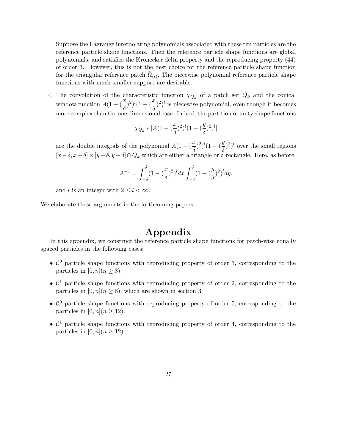Suppose the Lagrange interpolating polynomials associated with these ten particles are the reference particle shape functions. Then the reference particle shape functions are global polynomials, and satisfies the Kronecker delta property and the reproducing property (44) of order 3. However, this is not the best choice for the reference particle shape function for the triangular reference patch  $\hat{\Omega}_{(t)}$ . The piecewise polynomial reference particle shape functions with much smaller support are desirable.

4. The convolution of the characteristic function  $\chi_{Q_k}$  of a patch set  $Q_k$  and the conical window function  $A(1 - (\frac{x}{s}))$  $\left(\frac{x}{\delta}\right)^2)^l(1-(\frac{x}{\delta})$  $(\frac{\hbar}{\delta})^2)^l$  is piecewise polynomial, even though it becomes more complex than the one dimensional case. Indeed, the partition of unity shape functions

$$
\chi_{Q_k}*[A(1-(\frac{x}{\delta})^2)^l(1-(\frac{y}{\delta})^2)^l]
$$

are the double integrals of the polynomial  $A(1 - (\frac{x}{s})^2)^l (1 - (\frac{y}{s})^2)^l$  over the small regions  $\delta$ <sup>'</sup>  $\delta$  $[x-\delta, x+\delta] \times [y-\delta, y+\delta] \cap Q_k$  which are either a triangle or a rectangle. Here, as before,

$$
A^{-1} = \int_{-\delta}^{\delta} (1 - (\frac{x}{\delta})^2)^l dx \int_{-\delta}^{\delta} (1 - (\frac{y}{\delta})^2)^l dy,
$$

and l is an integer with  $2 \leq l \leq \infty$ .

We elaborate these arguments in the forthcoming papers.

### Appendix

In this appendix, we construct the reference particle shape functions for patch-wise equally spaced particles in the following cases:

- $\mathcal{C}^0$  particle shape functions with reproducing property of order 3, corresponding to the particles in  $[0, n](n \geq 8)$ .
- $\mathcal{C}^1$  particle shape functions with reproducing property of order 2, corresponding to the particles in  $[0, n](n \geq 8)$ , which are shown in section 3.
- $\mathcal{C}^0$  particle shape functions with reproducing property of order 5, corresponding to the particles in  $[0, n](n \geq 12)$ .
- $\mathcal{C}^1$  particle shape functions with reproducing property of order 4, corresponding to the particles in  $[0, n](n \ge 12)$ .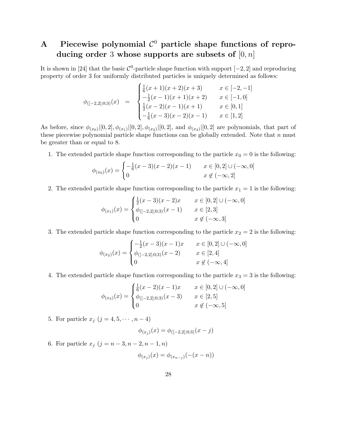## A Piecewise polynomial  $\mathcal{C}^0$  particle shape functions of reproducing order 3 whose supports are subsets of  $[0, n]$

It is shown in [24] that the basic  $\mathcal{C}^0$ -particle shape function with support  $[-2, 2]$  and reproducing property of order 3 for uniformly distributed particles is uniquely determined as follows:

$$
\phi_{([-2,2];0;3)}(x) = \begin{cases} \frac{1}{6}(x+1)(x+2)(x+3) & x \in [-2,-1] \\ -\frac{1}{2}(x-1)(x+1)(x+2) & x \in [-1,0] \\ \frac{1}{2}(x-2)(x-1)(x+1) & x \in [0,1] \\ -\frac{1}{6}(x-3)(x-2)(x-1) & x \in [1,2] \end{cases}
$$

As before, since  $\phi_{(x_0)}([0,2], \phi_{(x_1)}([0,2], \phi_{(x_2)}([0,2], \text{ and } \phi_{(x_3)}([0,2])$  are polynomials, that part of these piecewise polynomial particle shape functions can be globally extended. Note that  $n$  must be greater than or equal to 8.

1. The extended particle shape function corresponding to the particle  $x_0 = 0$  is the following:

$$
\phi_{(x_0)}(x) = \begin{cases}\n-\frac{1}{6}(x-3)(x-2)(x-1) & x \in [0,2] \cup (-\infty,0] \\
0 & x \notin (-\infty,2]\n\end{cases}
$$

2. The extended particle shape function corresponding to the particle  $x_1 = 1$  is the following:

$$
\phi_{(x_1)}(x) = \begin{cases} \frac{1}{2}(x-3)(x-2)x & x \in [0,2] \cup (-\infty,0] \\ \phi_{([-2,2];0;3)}(x-1) & x \in [2,3] \\ 0 & x \notin (-\infty,3] \end{cases}
$$

3. The extended particle shape function corresponding to the particle  $x_2 = 2$  is the following:

$$
\phi_{(x_2)}(x) = \begin{cases}\n-\frac{1}{2}(x-3)(x-1)x & x \in [0,2] \cup (-\infty,0] \\
\phi_{([-2,2];0;3)}(x-2) & x \in [2,4] \\
0 & x \notin (-\infty,4]\n\end{cases}
$$

4. The extended particle shape function corresponding to the particle  $x_3 = 3$  is the following:

$$
\phi_{(x_3)}(x) = \begin{cases} \frac{1}{6}(x-2)(x-1)x & x \in [0,2] \cup (-\infty,0] \\ \phi_{([-2,2];0;3)}(x-3) & x \in [2,5] \\ 0 & x \notin (-\infty,5] \end{cases}
$$

5. For particle  $x_j$   $(j = 4, 5, \cdots, n-4)$ 

$$
\phi_{(x_j)}(x) = \phi_{([-2,2];0,3)}(x-j)
$$

6. For particle  $x_j$   $(j = n - 3, n - 2, n - 1, n)$ 

$$
\phi_{(x_j)}(x) = \phi_{(x_{n-j})}(-(x - n))
$$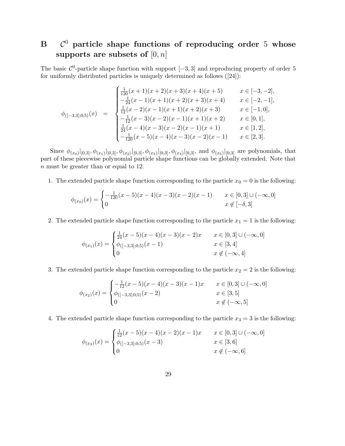#### $\bf{B}$  $C^0$  particle shape functions of reproducing order 5 whose supports are subsets of  $[0, n]$

The basic  $\mathcal{C}^0$ -particle shape function with support  $[-3, 3]$  and reproducing property of order 5 for uniformly distributed particles is uniquely determined as follows ([24]):

$$
\phi_{([-3,3];0;5)}(x) = \begin{cases}\n\frac{1}{120}(x+1)(x+2)(x+3)(x+4)(x+5) & x \in [-3,-2], \\
-\frac{1}{24}(x-1)(x+1)(x+2)(x+3)(x+4) & x \in [-2,-1], \\
\frac{1}{12}(x-2)(x-1)(x+1)(x+2)(x+3) & x \in [-1,0], \\
-\frac{1}{12}(x-3)(x-2)(x-1)(x+1)(x+2) & x \in [0,1], \\
\frac{1}{24}(x-4)(x-3)(x-2)(x-1)(x+1) & x \in [1,2], \\
-\frac{1}{120}(x-5)(x-4)(x-3)(x-2)(x-1) & x \in [2,3].\n\end{cases}
$$

Since  $\phi_{(x_0)}|_{[0,3]}, \phi_{(x_1)}|_{[0,3]}, \phi_{(x_2)}|_{[0,3]}, \phi_{(x_3)}|_{[0,3]}, \phi_{(x_4)}|_{[0,3]},$  and  $\phi_{(x_5)}|_{[0,3]}$  are polynomials, that part of these piecewise polynomial particle shape functions can be globally extended. Note that n must be greater than or equal to 12.

1. The extended particle shape function corresponding to the particle  $x_0 = 0$  is the following:

$$
\phi_{(x_0)}(x) = \begin{cases}\n-\frac{1}{120}(x-5)(x-4)(x-3)(x-2)(x-1) & x \in [0,3] \cup (-\infty,0] \\
0 & x \notin [-\delta,3]\n\end{cases}
$$

2. The extended particle shape function corresponding to the particle  $x_1 = 1$  is the following:

$$
\phi_{(x_1)}(x) = \begin{cases} \frac{1}{24}(x-5)(x-4)(x-3)(x-2)x & x \in [0,3] \cup (-\infty,0] \\ \phi_{([-3,3];0;5)}(x-1) & x \in [3,4] \\ 0 & x \notin (-\infty,4] \end{cases}
$$

3. The extended particle shape function corresponding to the particle  $x_2 = 2$  is the following:

$$
\phi_{(x_2)}(x) = \begin{cases}\n-\frac{1}{12}(x-5)(x-4)(x-3)(x-1)x & x \in [0,3] \cup (-\infty,0] \\
\phi_{([-3,3];0;5)}(x-2) & x \in [3,5] \\
0 & x \notin (-\infty,5]\n\end{cases}
$$

4. The extended particle shape function corresponding to the particle  $x_3 = 3$  is the following:

$$
\phi_{(x_3)}(x) = \begin{cases} \frac{1}{12}(x-5)(x-4)(x-2)(x-1)x & x \in [0,3] \cup (-\infty,0] \\ \phi_{([-3,3];0;5)}(x-3) & x \in [3,6] \\ 0 & x \notin (-\infty,6] \end{cases}
$$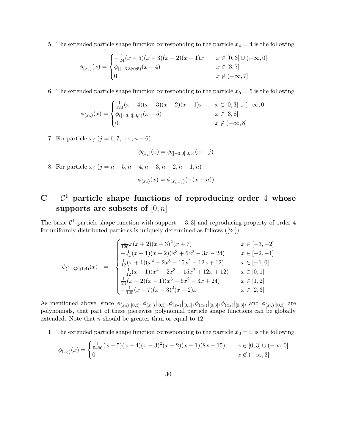5. The extended particle shape function corresponding to the particle  $x_4 = 4$  is the following:

$$
\phi_{(x_4)}(x) = \begin{cases}\n-\frac{1}{24}(x-5)(x-3)(x-2)(x-1)x & x \in [0,3] \cup (-\infty,0] \\
\phi_{([-3,3];0,5)}(x-4) & x \in [3,7] \\
0 & x \notin (-\infty,7]\n\end{cases}
$$

6. The extended particle shape function corresponding to the particle  $x_5 = 5$  is the following:

$$
\phi_{(x_5)}(x) = \begin{cases} \frac{1}{120}(x-4)(x-3)(x-2)(x-1)x & x \in [0,3] \cup (-\infty,0] \\ \phi_{([-3,3];0,5)}(x-5) & x \in [3,8] \\ 0 & x \notin (-\infty,8] \end{cases}
$$

7. For particle  $x_j$   $(j = 6, 7, \dots, n - 6)$ 

$$
\phi_{(x_j)}(x) = \phi_{([-3,3];0;5)}(x-j)
$$

8. For particle  $x_j$   $(j = n - 5, n - 4, n - 3, n - 2, n - 1, n)$ 

$$
\phi_{(x_j)}(x) = \phi_{(x_{n-j})}(-(x - n))
$$

## $C$   $C<sup>1</sup>$  particle shape functions of reproducing order 4 whose supports are subsets of  $[0, n]$

The basic  $\mathcal{C}^1$ -particle shape function with support  $[-3, 3]$  and reproducing property of order 4 for uniformly distributed particles is uniquely determined as follows ([24]):

$$
\phi_{([-3,3];1;4)}(x) = \begin{cases}\n\frac{1}{120}x(x+2)(x+3)^2(x+7) & x \in [-3,-2] \\
-\frac{1}{24}(x+1)(x+2)(x^3+6x^2-3x-24) & x \in [-2,-1] \\
\frac{1}{12}(x+1)(x^4+2x^3-15x^2-12x+12) & x \in [-1,0] \\
-\frac{1}{12}(x-1)(x^4-2x^3-15x^2+12x+12) & x \in [0,1] \\
\frac{1}{24}(x-2)(x-1)(x^3-6x^2-3x+24) & x \in [1,2] \\
-\frac{1}{120}(x-7)(x-3)^2(x-2)x & x \in [2,3]\n\end{cases}
$$

As mentioned above, since  $\phi_{(x_0)}|_{[0,3]}, \phi_{(x_1)}|_{[0,3]}, \phi_{(x_2)}|_{[0,3]}, \phi_{(x_3)}|_{[0,3]}, \phi_{(x_4)}|_{[0,3]},$  and  $\phi_{(x_5)}|_{[0,3]}$  are polynomials, that part of these piecewise polynomial particle shape functions can be globally extended. Note that  $n$  should be greater than or equal to 12.

1. The extended particle shape function corresponding to the particle  $x_0 = 0$  is the following:

$$
\phi_{(x_0)}(x) = \begin{cases} \frac{1}{5400}(x-5)(x-4)(x-3)^2(x-2)(x-1)(8x+15) & x \in [0,3] \cup (-\infty,0] \\ 0 & x \notin (-\infty,3] \end{cases}
$$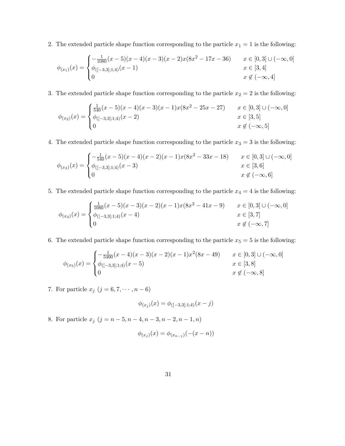2. The extended particle shape function corresponding to the particle  $x_1 = 1$  is the following:

$$
\phi_{(x_1)}(x) = \begin{cases}\n-\frac{1}{1080}(x-5)(x-4)(x-3)(x-2)x(8x^2-17x-36) & x \in [0,3] \cup (-\infty,0] \\
\phi_{([-3,3];1;4)}(x-1) & x \in [3,4] \\
0 & x \notin (-\infty,4]\n\end{cases}
$$

3. The extended particle shape function corresponding to the particle  $x_2 = 2$  is the following:

$$
\phi_{(x_2)}(x) = \begin{cases} \frac{1}{540}(x-5)(x-4)(x-3)(x-1)x(8x^2-25x-27) & x \in [0,3] \cup (-\infty,0] \\ \phi_{([-3,3];1;4)}(x-2) & x \in [3,5] \\ 0 & x \notin (-\infty,5] \end{cases}
$$

4. The extended particle shape function corresponding to the particle  $x_3 = 3$  is the following:

$$
\phi_{(x_3)}(x) = \begin{cases}\n-\frac{1}{540}(x-5)(x-4)(x-2)(x-1)x(8x^2-33x-18) & x \in [0,3] \cup (-\infty,0] \\
\phi_{([-3,3];1;4)}(x-3) & x \in [3,6] \\
0 & x \notin (-\infty,6]\n\end{cases}
$$

5. The extended particle shape function corresponding to the particle  $x_4 = 4$  is the following:

$$
\phi_{(x_4)}(x) = \begin{cases} \frac{1}{1080}(x-5)(x-3)(x-2)(x-1)x(8x^2-41x-9) & x \in [0,3] \cup (-\infty,0] \\ \phi_{([-3,3];1;4)}(x-4) & x \in [3,7] \\ 0 & x \notin (-\infty,7] \end{cases}
$$

6. The extended particle shape function corresponding to the particle  $x_5 = 5$  is the following:

$$
\phi_{(x_5)}(x) = \begin{cases}\n-\frac{1}{5400}(x-4)(x-3)(x-2)(x-1)x^2(8x-49) & x \in [0,3] \cup (-\infty,0] \\
\phi_{([-3,3];1;4)}(x-5) & x \in [3,8] \\
0 & x \notin (-\infty,8]\n\end{cases}
$$

7. For particle  $x_j$   $(j = 6, 7, \dots, n - 6)$ 

$$
\phi_{(x_j)}(x) = \phi_{([-3,3];1;4)}(x-j)
$$

8. For particle  $x_j$   $(j = n - 5, n - 4, n - 3, n - 2, n - 1, n)$ 

$$
\phi_{(x_j)}(x) = \phi_{(x_{n-j})}(-(x - n))
$$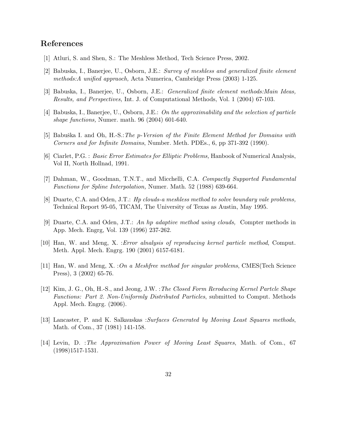### References

- [1] Atluri, S. and Shen, S.: The Meshless Method, Tech Science Press, 2002.
- [2] Babuska, I., Banerjee, U., Osborn, J.E.: Survey of meshless and generalized finite element methods:A unified appraoch, Acta Numerica, Cambridge Press (2003) 1-125.
- [3] Babuska, I., Banerjee, U., Osborn, J.E.: Generalized finite element methods:Main Ideas, Results, and Perspectives, Int. J. of Computational Methods, Vol. 1 (2004) 67-103.
- [4] Babuska, I., Banerjee, U., Osborn, J.E.: On the approximability and the selection of particle shape functions, Numer. math. 96 (2004) 601-640.
- [5] Babuška I. and Oh, H.-S.: The p-Version of the Finite Element Method for Domains with Corners and for Infinite Domains, Number. Meth. PDEs., 6, pp 371-392 (1990).
- [6] Ciarlet, P.G. : Basic Error Estimates for Elliptic Problems, Hanbook of Numerical Analysis, Vol II, North Hollnad, 1991.
- [7] Dahman, W., Goodman, T.N.T., and Micchelli, C.A. Compactly Supported Fundamental Functions for Spline Interpolation, Numer. Math. 52 (1988) 639-664.
- [8] Duarte, C.A. and Oden, J.T.: Hp clouds-a meshless method to solve boundary vale problems, Technical Report 95-05, TICAM, The University of Texas as Austin, May 1995.
- [9] Duarte, C.A. and Oden, J.T.: An hp adaptive method using clouds, Compter methods in App. Mech. Engrg, Vol. 139 (1996) 237-262.
- [10] Han, W. and Meng, X. :Error alnalysis of reproducing kernel particle method, Comput. Meth. Appl. Mech. Engrg. 190 (2001) 6157-6181.
- [11] Han, W. and Meng, X. :On a Meshfree method for singular problems, CMES(Tech Science Press), 3 (2002) 65-76.
- [12] Kim, J. G., Oh, H.-S., and Jeong, J.W. :The Closed Form Reroducing Kernel Partcle Shape Functions: Part 2. Non-Uniformly Distributed Particles, submitted to Comput. Methods Appl. Mech. Engrg. (2006).
- [13] Lancaster, P. and K. Salkauskas :Surfaces Generated by Moving Least Squares methods, Math. of Com., 37 (1981) 141-158.
- [14] Levin, D. :The Approximation Power of Moving Least Squares, Math. of Com., 67 (1998)1517-1531.